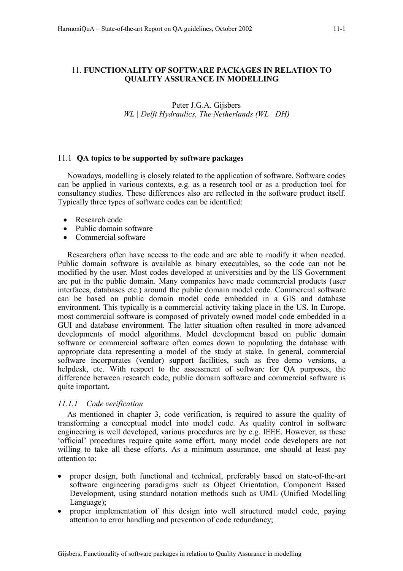# 11. **FUNCTIONALITY OF SOFTWARE PACKAGES IN RELATION TO QUALITY ASSURANCE IN MODELLING**

# Peter J.G.A. Gijsbers *WL | Delft Hydraulics, The Netherlands (WL | DH)*

# 11.1 **QA topics to be supported by software packages**

Nowadays, modelling is closely related to the application of software. Software codes can be applied in various contexts, e.g. as a research tool or as a production tool for consultancy studies. These differences also are reflected in the software product itself. Typically three types of software codes can be identified:

- Research code
- Public domain software
- Commercial software

Researchers often have access to the code and are able to modify it when needed. Public domain software is available as binary executables, so the code can not be modified by the user. Most codes developed at universities and by the US Government are put in the public domain. Many companies have made commercial products (user interfaces, databases etc.) around the public domain model code. Commercial software can be based on public domain model code embedded in a GIS and database environment. This typically is a commercial activity taking place in the US. In Europe, most commercial software is composed of privately owned model code embedded in a GUI and database environment. The latter situation often resulted in more advanced developments of model algorithms. Model development based on public domain software or commercial software often comes down to populating the database with appropriate data representing a model of the study at stake. In general, commercial software incorporates (vendor) support facilities, such as free demo versions, a helpdesk, etc. With respect to the assessment of software for QA purposes, the difference between research code, public domain software and commercial software is quite important.

# *11.1.1 Code verification*

As mentioned in chapter 3, code verification, is required to assure the quality of transforming a conceptual model into model code. As quality control in software engineering is well developed, various procedures are by e.g. IEEE. However, as these 'official' procedures require quite some effort, many model code developers are not willing to take all these efforts. As a minimum assurance, one should at least pay attention to:

- proper design, both functional and technical, preferably based on state-of-the-art software engineering paradigms such as Object Orientation, Component Based Development, using standard notation methods such as UML (Unified Modelling Language);
- proper implementation of this design into well structured model code, paying attention to error handling and prevention of code redundancy;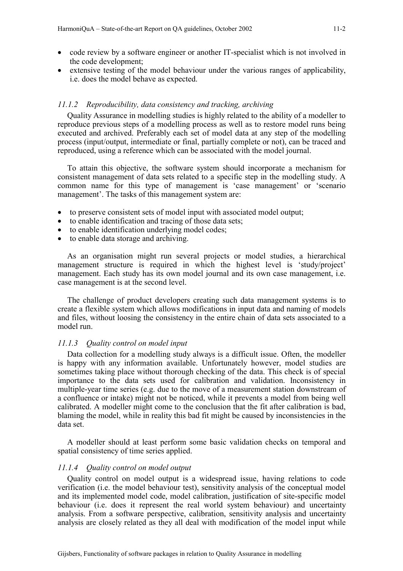- code review by a software engineer or another IT-specialist which is not involved in the code development;
- extensive testing of the model behaviour under the various ranges of applicability, i.e. does the model behave as expected.

### *11.1.2 Reproducibility, data consistency and tracking, archiving*

Quality Assurance in modelling studies is highly related to the ability of a modeller to reproduce previous steps of a modelling process as well as to restore model runs being executed and archived. Preferably each set of model data at any step of the modelling process (input/output, intermediate or final, partially complete or not), can be traced and reproduced, using a reference which can be associated with the model journal.

To attain this objective, the software system should incorporate a mechanism for consistent management of data sets related to a specific step in the modelling study. A common name for this type of management is 'case management' or 'scenario management'. The tasks of this management system are:

- to preserve consistent sets of model input with associated model output:
- to enable identification and tracing of those data sets;
- to enable identification underlying model codes;
- to enable data storage and archiving.

As an organisation might run several projects or model studies, a hierarchical management structure is required in which the highest level is 'study/project' management. Each study has its own model journal and its own case management, i.e. case management is at the second level.

The challenge of product developers creating such data management systems is to create a flexible system which allows modifications in input data and naming of models and files, without loosing the consistency in the entire chain of data sets associated to a model run.

### *11.1.3 Quality control on model input*

Data collection for a modelling study always is a difficult issue. Often, the modeller is happy with any information available. Unfortunately however, model studies are sometimes taking place without thorough checking of the data. This check is of special importance to the data sets used for calibration and validation. Inconsistency in multiple-year time series (e.g. due to the move of a measurement station downstream of a confluence or intake) might not be noticed, while it prevents a model from being well calibrated. A modeller might come to the conclusion that the fit after calibration is bad, blaming the model, while in reality this bad fit might be caused by inconsistencies in the data set.

A modeller should at least perform some basic validation checks on temporal and spatial consistency of time series applied.

### *11.1.4 Quality control on model output*

Quality control on model output is a widespread issue, having relations to code verification (i.e. the model behaviour test), sensitivity analysis of the conceptual model and its implemented model code, model calibration, justification of site-specific model behaviour (i.e. does it represent the real world system behaviour) and uncertainty analysis. From a software perspective, calibration, sensitivity analysis and uncertainty analysis are closely related as they all deal with modification of the model input while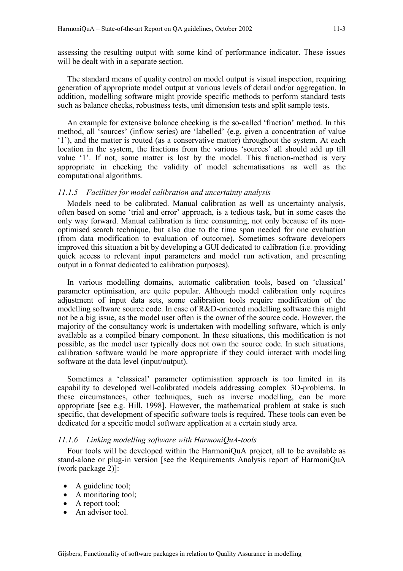assessing the resulting output with some kind of performance indicator. These issues will be dealt with in a separate section.

The standard means of quality control on model output is visual inspection, requiring generation of appropriate model output at various levels of detail and/or aggregation. In addition, modelling software might provide specific methods to perform standard tests such as balance checks, robustness tests, unit dimension tests and split sample tests.

An example for extensive balance checking is the so-called 'fraction' method. In this method, all 'sources' (inflow series) are 'labelled' (e.g. given a concentration of value '1'), and the matter is routed (as a conservative matter) throughout the system. At each location in the system, the fractions from the various 'sources' all should add up till value '1'. If not, some matter is lost by the model. This fraction-method is very appropriate in checking the validity of model schematisations as well as the computational algorithms.

## *11.1.5 Facilities for model calibration and uncertainty analysis*

Models need to be calibrated. Manual calibration as well as uncertainty analysis, often based on some 'trial and error' approach, is a tedious task, but in some cases the only way forward. Manual calibration is time consuming, not only because of its nonoptimised search technique, but also due to the time span needed for one evaluation (from data modification to evaluation of outcome). Sometimes software developers improved this situation a bit by developing a GUI dedicated to calibration (i.e. providing quick access to relevant input parameters and model run activation, and presenting output in a format dedicated to calibration purposes).

In various modelling domains, automatic calibration tools, based on 'classical' parameter optimisation, are quite popular. Although model calibration only requires adjustment of input data sets, some calibration tools require modification of the modelling software source code. In case of R&D-oriented modelling software this might not be a big issue, as the model user often is the owner of the source code. However, the majority of the consultancy work is undertaken with modelling software, which is only available as a compiled binary component. In these situations, this modification is not possible, as the model user typically does not own the source code. In such situations, calibration software would be more appropriate if they could interact with modelling software at the data level (input/output).

Sometimes a 'classical' parameter optimisation approach is too limited in its capability to developed well-calibrated models addressing complex 3D-problems. In these circumstances, other techniques, such as inverse modelling, can be more appropriate [see e.g. Hill, 1998]. However, the mathematical problem at stake is such specific, that development of specific software tools is required. These tools can even be dedicated for a specific model software application at a certain study area.

### *11.1.6 Linking modelling software with HarmoniQuA-tools*

Four tools will be developed within the HarmoniQuA project, all to be available as stand-alone or plug-in version [see the Requirements Analysis report of HarmoniQuA (work package 2)]:

- A guideline tool;
- A monitoring tool;
- A report tool:
- An advisor tool.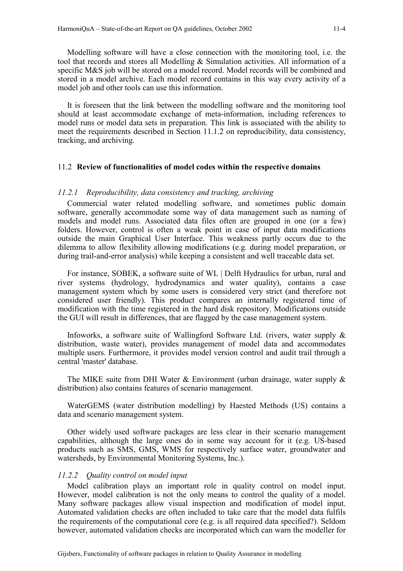Modelling software will have a close connection with the monitoring tool, i.e. the tool that records and stores all Modelling & Simulation activities. All information of a specific M&S job will be stored on a model record. Model records will be combined and stored in a model archive. Each model record contains in this way every activity of a model job and other tools can use this information.

It is foreseen that the link between the modelling software and the monitoring tool should at least accommodate exchange of meta-information, including references to model runs or model data sets in preparation. This link is associated with the ability to meet the requirements described in Section 11.1.2 on reproducibility, data consistency, tracking, and archiving.

### 11.2 **Review of functionalities of model codes within the respective domains**

### *11.2.1 Reproducibility, data consistency and tracking, archiving*

Commercial water related modelling software, and sometimes public domain software, generally accommodate some way of data management such as naming of models and model runs. Associated data files often are grouped in one (or a few) folders. However, control is often a weak point in case of input data modifications outside the main Graphical User Interface. This weakness partly occurs due to the dilemma to allow flexibility allowing modifications (e.g. during model preparation, or during trail-and-error analysis) while keeping a consistent and well traceable data set.

For instance, SOBEK, a software suite of WL | Delft Hydraulics for urban, rural and river systems (hydrology, hydrodynamics and water quality), contains a case management system which by some users is considered very strict (and therefore not considered user friendly). This product compares an internally registered time of modification with the time registered in the hard disk repository. Modifications outside the GUI will result in differences, that are flagged by the case management system.

Infoworks, a software suite of Wallingford Software Ltd. (rivers, water supply & distribution, waste water), provides management of model data and accommodates multiple users. Furthermore, it provides model version control and audit trail through a central 'master' database.

The MIKE suite from DHI Water  $\&$  Environment (urban drainage, water supply  $\&$ distribution) also contains features of scenario management.

WaterGEMS (water distribution modelling) by Haested Methods (US) contains a data and scenario management system.

Other widely used software packages are less clear in their scenario management capabilities, although the large ones do in some way account for it (e.g. US-based products such as SMS, GMS, WMS for respectively surface water, groundwater and watersheds, by Environmental Monitoring Systems, Inc.).

### *11.2.2 Quality control on model input*

Model calibration plays an important role in quality control on model input. However, model calibration is not the only means to control the quality of a model. Many software packages allow visual inspection and modification of model input. Automated validation checks are often included to take care that the model data fulfils the requirements of the computational core (e.g. is all required data specified?). Seldom however, automated validation checks are incorporated which can warn the modeller for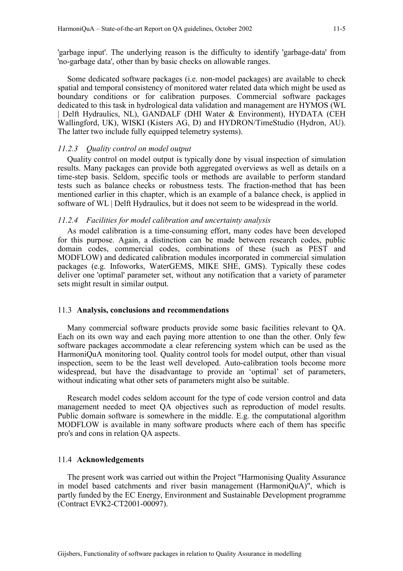'garbage input'. The underlying reason is the difficulty to identify 'garbage-data' from 'no-garbage data', other than by basic checks on allowable ranges.

Some dedicated software packages (i.e. non-model packages) are available to check spatial and temporal consistency of monitored water related data which might be used as boundary conditions or for calibration purposes. Commercial software packages dedicated to this task in hydrological data validation and management are HYMOS (WL | Delft Hydraulics, NL), GANDALF (DHI Water & Environment), HYDATA (CEH Wallingford, UK), WISKI (Kisters AG, D) and HYDRON/TimeStudio (Hydron, AU). The latter two include fully equipped telemetry systems).

### *11.2.3 Quality control on model output*

Quality control on model output is typically done by visual inspection of simulation results. Many packages can provide both aggregated overviews as well as details on a time-step basis. Seldom, specific tools or methods are available to perform standard tests such as balance checks or robustness tests. The fraction-method that has been mentioned earlier in this chapter, which is an example of a balance check, is applied in software of WL | Delft Hydraulics, but it does not seem to be widespread in the world.

### *11.2.4 Facilities for model calibration and uncertainty analysis*

As model calibration is a time-consuming effort, many codes have been developed for this purpose. Again, a distinction can be made between research codes, public domain codes, commercial codes, combinations of these (such as PEST and MODFLOW) and dedicated calibration modules incorporated in commercial simulation packages (e.g. Infoworks, WaterGEMS, MIKE SHE, GMS). Typically these codes deliver one 'optimal' parameter set, without any notification that a variety of parameter sets might result in similar output.

### 11.3 **Analysis, conclusions and recommendations**

Many commercial software products provide some basic facilities relevant to QA. Each on its own way and each paying more attention to one than the other. Only few software packages accommodate a clear referencing system which can be used as the HarmoniQuA monitoring tool. Quality control tools for model output, other than visual inspection, seem to be the least well developed. Auto-calibration tools become more widespread, but have the disadvantage to provide an 'optimal' set of parameters, without indicating what other sets of parameters might also be suitable.

Research model codes seldom account for the type of code version control and data management needed to meet QA objectives such as reproduction of model results. Public domain software is somewhere in the middle. E.g. the computational algorithm MODFLOW is available in many software products where each of them has specific pro's and cons in relation QA aspects.

### 11.4 **Acknowledgements**

The present work was carried out within the Project "Harmonising Quality Assurance in model based catchments and river basin management (HarmoniQuA)", which is partly funded by the EC Energy, Environment and Sustainable Development programme (Contract EVK2-CT2001-00097).